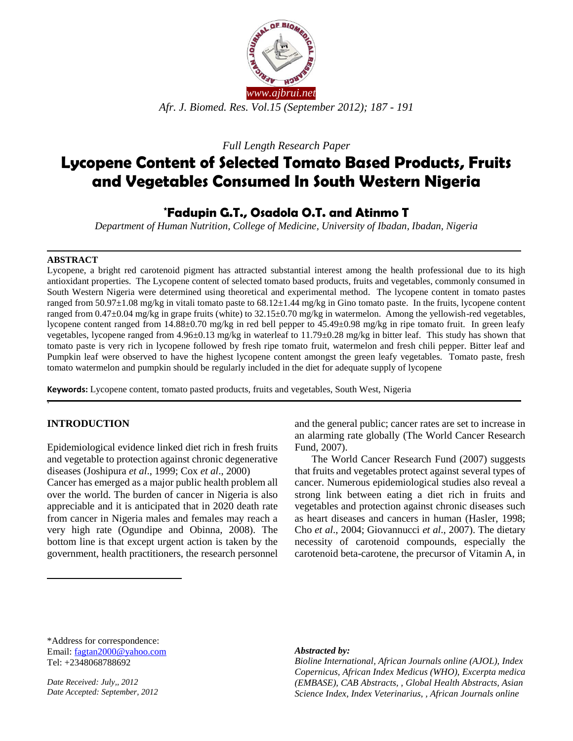

*Full Length Research Paper*

# **Lycopene Content of Selected Tomato Based Products, Fruits and Vegetables Consumed In South Western Nigeria**

## **\*Fadupin G.T., Osadola O.T. and Atinmo T**

*Department of Human Nutrition, College of Medicine, University of Ibadan, Ibadan, Nigeria*

#### **ABSTRACT**

Lycopene, a bright red carotenoid pigment has attracted substantial interest among the health professional due to its high antioxidant properties. The Lycopene content of selected tomato based products, fruits and vegetables, commonly consumed in South Western Nigeria were determined using theoretical and experimental method. The lycopene content in tomato pastes ranged from 50.97±1.08 mg/kg in vitali tomato paste to 68.12±1.44 mg/kg in Gino tomato paste. In the fruits, lycopene content ranged from 0.47±0.04 mg/kg in grape fruits (white) to 32.15±0.70 mg/kg in watermelon. Among the yellowish-red vegetables, lycopene content ranged from 14.88±0.70 mg/kg in red bell pepper to 45.49±0.98 mg/kg in ripe tomato fruit. In green leafy vegetables, lycopene ranged from 4.96±0.13 mg/kg in waterleaf to 11.79±0.28 mg/kg in bitter leaf. This study has shown that tomato paste is very rich in lycopene followed by fresh ripe tomato fruit, watermelon and fresh chili pepper. Bitter leaf and Pumpkin leaf were observed to have the highest lycopene content amongst the green leafy vegetables. Tomato paste, fresh tomato watermelon and pumpkin should be regularly included in the diet for adequate supply of lycopene

**Keywords:** Lycopene content, tomato pasted products, fruits and vegetables, South West, Nigeria

## **INTRODUCTION**

.

 $\overline{a}$ 

Epidemiological evidence linked diet rich in fresh fruits and vegetable to protection against chronic degenerative diseases (Joshipura *et al*., 1999; Cox *et al*., 2000)

Cancer has emerged as a major public health problem all over the world. The burden of cancer in Nigeria is also appreciable and it is anticipated that in 2020 death rate from cancer in Nigeria males and females may reach a very high rate (Ogundipe and Obinna, 2008). The bottom line is that except urgent action is taken by the government, health practitioners, the research personnel and the general public; cancer rates are set to increase in an alarming rate globally (The World Cancer Research Fund, 2007).

The World Cancer Research Fund (2007) suggests that fruits and vegetables protect against several types of cancer. Numerous epidemiological studies also reveal a strong link between eating a diet rich in fruits and vegetables and protection against chronic diseases such as heart diseases and cancers in human (Hasler, 1998; Cho *et al*., 2004; Giovannucci *et al*., 2007). The dietary necessity of carotenoid compounds, especially the carotenoid beta-carotene, the precursor of Vitamin A, in

\*Address for correspondence: Email: [fagtan2000@yahoo.com](mailto:fagtan2000@yahoo.com) Tel: +2348068788692

*Date Received: July,, 2012 Date Accepted: September, 2012*

#### *Abstracted by:*

*Bioline International, African Journals online (AJOL), Index Copernicus, African Index Medicus (WHO), Excerpta medica (EMBASE), CAB Abstracts, , Global Health Abstracts, Asian Science Index, Index Veterinarius, , African Journals online*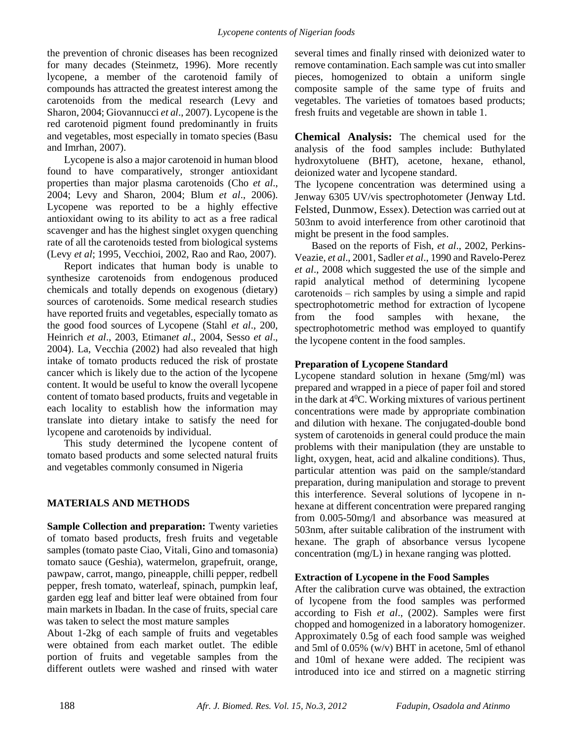the prevention of chronic diseases has been recognized for many decades (Steinmetz, 1996). More recently lycopene, a member of the carotenoid family of compounds has attracted the greatest interest among the carotenoids from the medical research (Levy and Sharon, 2004; Giovannucci *et al*., 2007). Lycopene is the red carotenoid pigment found predominantly in fruits and vegetables, most especially in tomato species (Basu and Imrhan, 2007).

Lycopene is also a major carotenoid in human blood found to have comparatively, stronger antioxidant properties than major plasma carotenoids (Cho *et al*., 2004; Levy and Sharon, 2004; Blum *et al*., 2006). Lycopene was reported to be a highly effective antioxidant owing to its ability to act as a free radical scavenger and has the highest singlet oxygen quenching rate of all the carotenoids tested from biological systems (Levy *et al*; 1995, Vecchioi, 2002, Rao and Rao, 2007).

Report indicates that human body is unable to synthesize carotenoids from endogenous produced chemicals and totally depends on exogenous (dietary) sources of carotenoids. Some medical research studies have reported fruits and vegetables, especially tomato as the good food sources of Lycopene (Stahl *et al*., 200, Heinrich *et al*., 2003, Etiman*et al*., 2004, Sesso *et al*., 2004). La, Vecchia (2002) had also revealed that high intake of tomato products reduced the risk of prostate cancer which is likely due to the action of the lycopene content. It would be useful to know the overall lycopene content of tomato based products, fruits and vegetable in each locality to establish how the information may translate into dietary intake to satisfy the need for lycopene and carotenoids by individual.

This study determined the lycopene content of tomato based products and some selected natural fruits and vegetables commonly consumed in Nigeria

## **MATERIALS AND METHODS**

**Sample Collection and preparation:** Twenty varieties of tomato based products, fresh fruits and vegetable samples (tomato paste Ciao, Vitali, Gino and tomasonia) tomato sauce (Geshia), watermelon, grapefruit, orange, pawpaw, carrot, mango, pineapple, chilli pepper, redbell pepper, fresh tomato, waterleaf, spinach, pumpkin leaf, garden egg leaf and bitter leaf were obtained from four main markets in Ibadan. In the case of fruits, special care was taken to select the most mature samples

About 1-2kg of each sample of fruits and vegetables were obtained from each market outlet. The edible portion of fruits and vegetable samples from the different outlets were washed and rinsed with water

several times and finally rinsed with deionized water to remove contamination. Each sample was cut into smaller pieces, homogenized to obtain a uniform single composite sample of the same type of fruits and vegetables. The varieties of tomatoes based products; fresh fruits and vegetable are shown in table 1.

**Chemical Analysis:** The chemical used for the analysis of the food samples include: Buthylated hydroxytoluene (BHT), acetone, hexane, ethanol, deionized water and lycopene standard.

The lycopene concentration was determined using a Jenway 6305 UV/vis spectrophotometer (Jenway Ltd. Felsted, Dunmow, Essex). Detection was carried out at 503nm to avoid interference from other carotinoid that might be present in the food samples.

Based on the reports of Fish, *et al*., 2002, Perkins-Veazie, *et al*., 2001, Sadler *et al*., 1990 and Ravelo-Perez *et al*., 2008 which suggested the use of the simple and rapid analytical method of determining lycopene carotenoids – rich samples by using a simple and rapid spectrophotometric method for extraction of lycopene from the food samples with hexane, the spectrophotometric method was employed to quantify the lycopene content in the food samples.

## **Preparation of Lycopene Standard**

Lycopene standard solution in hexane (5mg/ml) was prepared and wrapped in a piece of paper foil and stored in the dark at  $4^0C$ . Working mixtures of various pertinent concentrations were made by appropriate combination and dilution with hexane. The conjugated-double bond system of carotenoids in general could produce the main problems with their manipulation (they are unstable to light, oxygen, heat, acid and alkaline conditions). Thus, particular attention was paid on the sample/standard preparation, during manipulation and storage to prevent this interference. Several solutions of lycopene in nhexane at different concentration were prepared ranging from 0.005-50mg/l and absorbance was measured at 503nm, after suitable calibration of the instrument with hexane. The graph of absorbance versus lycopene concentration (mg/L) in hexane ranging was plotted.

## **Extraction of Lycopene in the Food Samples**

After the calibration curve was obtained, the extraction of lycopene from the food samples was performed according to Fish *et al*., (2002). Samples were first chopped and homogenized in a laboratory homogenizer. Approximately 0.5g of each food sample was weighed and 5ml of 0.05% (w/v) BHT in acetone, 5ml of ethanol and 10ml of hexane were added. The recipient was introduced into ice and stirred on a magnetic stirring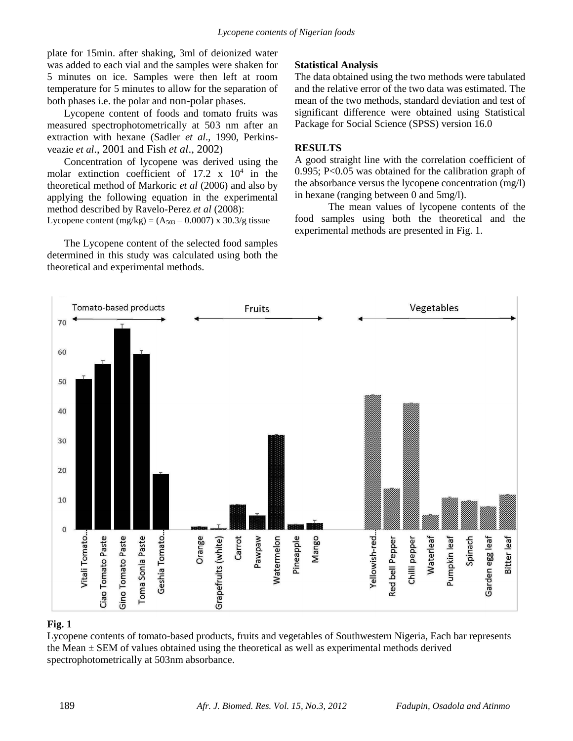plate for 15min. after shaking, 3ml of deionized water was added to each vial and the samples were shaken for 5 minutes on ice. Samples were then left at room temperature for 5 minutes to allow for the separation of both phases i.e. the polar and non-polar phases.

Lycopene content of foods and tomato fruits was measured spectrophotometrically at 503 nm after an extraction with hexane (Sadler *et al*., 1990, Perkinsveazie *et al*., 2001 and Fish *et al*., 2002)

Concentration of lycopene was derived using the molar extinction coefficient of  $17.2 \times 10^4$  in the theoretical method of Markoric *et al* (2006) and also by applying the following equation in the experimental method described by Ravelo-Perez *et al* (2008):

Lycopene content (mg/kg) =  $(A_{503} - 0.0007)$  x 30.3/g tissue

The Lycopene content of the selected food samples determined in this study was calculated using both the theoretical and experimental methods.

## **Statistical Analysis**

The data obtained using the two methods were tabulated and the relative error of the two data was estimated. The mean of the two methods, standard deviation and test of significant difference were obtained using Statistical Package for Social Science (SPSS) version 16.0

### **RESULTS**

A good straight line with the correlation coefficient of 0.995; P<0.05 was obtained for the calibration graph of the absorbance versus the lycopene concentration (mg/l) in hexane (ranging between 0 and 5mg/l).

The mean values of lycopene contents of the food samples using both the theoretical and the experimental methods are presented in Fig. 1.



### **Fig. 1**

Lycopene contents of tomato-based products, fruits and vegetables of Southwestern Nigeria, Each bar represents the Mean  $\pm$  SEM of values obtained using the theoretical as well as experimental methods derived spectrophotometrically at 503nm absorbance.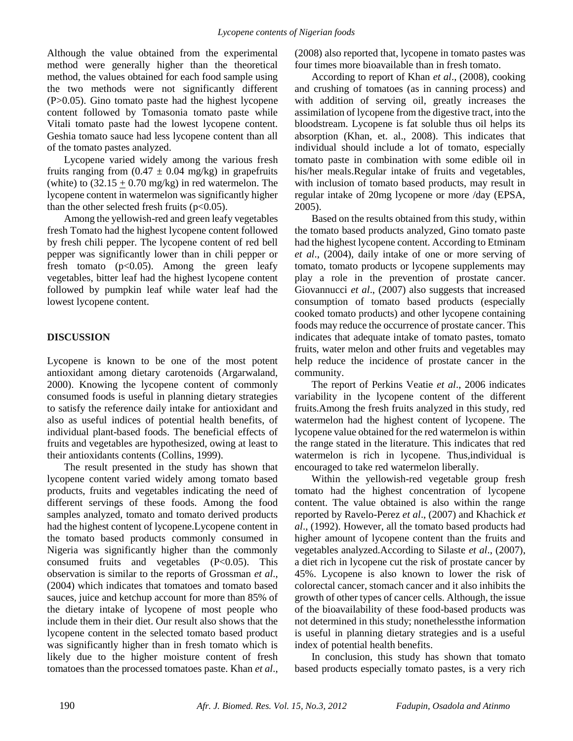Although the value obtained from the experimental method were generally higher than the theoretical method, the values obtained for each food sample using the two methods were not significantly different (P>0.05). Gino tomato paste had the highest lycopene content followed by Tomasonia tomato paste while Vitali tomato paste had the lowest lycopene content. Geshia tomato sauce had less lycopene content than all of the tomato pastes analyzed.

Lycopene varied widely among the various fresh fruits ranging from  $(0.47 \pm 0.04 \text{ mg/kg})$  in grapefruits (white) to  $(32.15 \pm 0.70 \text{ mg/kg})$  in red watermelon. The lycopene content in watermelon was significantly higher than the other selected fresh fruits  $(p<0.05)$ .

Among the yellowish-red and green leafy vegetables fresh Tomato had the highest lycopene content followed by fresh chili pepper. The lycopene content of red bell pepper was significantly lower than in chili pepper or fresh tomato  $(p<0.05)$ . Among the green leafy vegetables, bitter leaf had the highest lycopene content followed by pumpkin leaf while water leaf had the lowest lycopene content.

#### **DISCUSSION**

Lycopene is known to be one of the most potent antioxidant among dietary carotenoids (Argarwaland, 2000). Knowing the lycopene content of commonly consumed foods is useful in planning dietary strategies to satisfy the reference daily intake for antioxidant and also as useful indices of potential health benefits, of individual plant-based foods. The beneficial effects of fruits and vegetables are hypothesized, owing at least to their antioxidants contents (Collins, 1999).

The result presented in the study has shown that lycopene content varied widely among tomato based products, fruits and vegetables indicating the need of different servings of these foods. Among the food samples analyzed, tomato and tomato derived products had the highest content of lycopene.Lycopene content in the tomato based products commonly consumed in Nigeria was significantly higher than the commonly consumed fruits and vegetables (P<0.05). This observation is similar to the reports of Grossman *et al*., (2004) which indicates that tomatoes and tomato based sauces, juice and ketchup account for more than 85% of the dietary intake of lycopene of most people who include them in their diet. Our result also shows that the lycopene content in the selected tomato based product was significantly higher than in fresh tomato which is likely due to the higher moisture content of fresh tomatoes than the processed tomatoes paste. Khan *et al*.,

(2008) also reported that, lycopene in tomato pastes was four times more bioavailable than in fresh tomato.

According to report of Khan *et al*., (2008), cooking and crushing of tomatoes (as in canning process) and with addition of serving oil, greatly increases the assimilation of lycopene from the digestive tract, into the bloodstream. Lycopene is fat soluble thus oil helps its absorption (Khan, et. al., 2008). This indicates that individual should include a lot of tomato, especially tomato paste in combination with some edible oil in his/her meals.Regular intake of fruits and vegetables, with inclusion of tomato based products, may result in regular intake of 20mg lycopene or more /day (EPSA, 2005).

Based on the results obtained from this study, within the tomato based products analyzed, Gino tomato paste had the highest lycopene content. According to Etminam *et al*., (2004), daily intake of one or more serving of tomato, tomato products or lycopene supplements may play a role in the prevention of prostate cancer. Giovannucci *et al*., (2007) also suggests that increased consumption of tomato based products (especially cooked tomato products) and other lycopene containing foods may reduce the occurrence of prostate cancer. This indicates that adequate intake of tomato pastes, tomato fruits, water melon and other fruits and vegetables may help reduce the incidence of prostate cancer in the community.

The report of Perkins Veatie *et al*., 2006 indicates variability in the lycopene content of the different fruits.Among the fresh fruits analyzed in this study, red watermelon had the highest content of lycopene. The lycopene value obtained for the red watermelon is within the range stated in the literature. This indicates that red watermelon is rich in lycopene. Thus,individual is encouraged to take red watermelon liberally.

Within the yellowish-red vegetable group fresh tomato had the highest concentration of lycopene content. The value obtained is also within the range reported by Ravelo-Perez *et al*., (2007) and Khachick *et al*., (1992). However, all the tomato based products had higher amount of lycopene content than the fruits and vegetables analyzed.According to Silaste *et al*., (2007), a diet rich in lycopene cut the risk of prostate cancer by 45%. Lycopene is also known to lower the risk of colorectal cancer, stomach cancer and it also inhibits the growth of other types of cancer cells. Although, the issue of the bioavailability of these food-based products was not determined in this study; nonethelessthe information is useful in planning dietary strategies and is a useful index of potential health benefits.

In conclusion, this study has shown that tomato based products especially tomato pastes, is a very rich